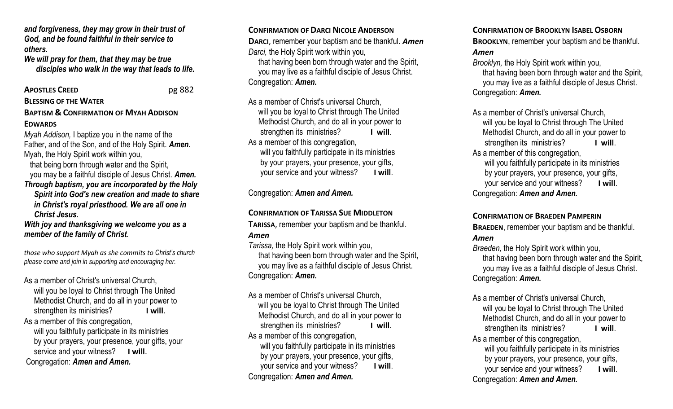*and forgiveness, they may grow in their trust of God, and be found faithful in their service to others.*

*We will pray for them, that they may be true disciples who walk in the way that leads to life.*

#### **APOSTLES CREED** pg 882

**BLESSING OF THE WATER**

#### **BAPTISM & CONFIRMATION OF MYAH ADDISON EDWARDS**

*Myah Addison,* I baptize you in the name of the Father, and of the Son, and of the Holy Spirit. *Amen***.** Myah, the Holy Spirit work within you,

 that being born through water and the Spirit, you may be a faithful disciple of Jesus Christ. *Amen.*

*Through baptism, you are incorporated by the Holy* 

 *Spirit into God's new creation and made to share in Christ's royal priesthood. We are all one in Christ Jesus.*

*With joy and thanksgiving we welcome you as a member of the family of Christ.*

*those who support Myah as she commits to Christ's church please come and join in supporting and encouraging her.*

As a member of Christ's universal Church, will you be loyal to Christ through The United Methodist Church, and do all in your power to strengthen its ministries? **I will**. As a member of this congregation, will you faithfully participate in its ministries by your prayers, your presence, your gifts, your service and your witness? **I will**.

Congregation: *Amen and Amen.* 

### **CONFIRMATION OF DARCI NICOLE ANDERSON**

**DARCI**, remember your baptism and be thankful. *Amen Darci,* the Holy Spirit work within you,

 that having been born through water and the Spirit, you may live as a faithful disciple of Jesus Christ. Congregation: *Amen.*

As a member of Christ's universal Church, will you be loyal to Christ through The United Methodist Church, and do all in your power to strengthen its ministries? **I will**. As a member of this congregation, will you faithfully participate in its ministries by your prayers, your presence, your gifts,

your service and your witness? **I will**.

Congregation: *Amen and Amen.* 

# **CONFIRMATION OF TARISSA SUE MIDDLETON**

**TARISSA**, remember your baptism and be thankful. *Amen*

*Tarissa,* the Holy Spirit work within you, that having been born through water and the Spirit, you may live as a faithful disciple of Jesus Christ. Congregation: *Amen.*

As a member of Christ's universal Church, will you be loyal to Christ through The United Methodist Church, and do all in your power to strengthen its ministries? **I will**. As a member of this congregation, will you faithfully participate in its ministries by your prayers, your presence, your gifts, your service and your witness? **I will**. Congregation: *Amen and Amen.* 

## **CONFIRMATION OF BROOKLYN ISABEL OSBORN**

**BROOKLYN**, remember your baptism and be thankful. *Amen*

*Brooklyn,* the Holy Spirit work within you,

 that having been born through water and the Spirit, you may live as a faithful disciple of Jesus Christ. Congregation: *Amen.*

As a member of Christ's universal Church, will you be loyal to Christ through The United Methodist Church, and do all in your power to strengthen its ministries? **I will**. As a member of this congregation, will you faithfully participate in its ministries by your prayers, your presence, your gifts,

 your service and your witness? **I will**. Congregation: *Amen and Amen.* 

# **CONFIRMATION OF BRAEDEN PAMPERIN**

**BRAEDEN**, remember your baptism and be thankful. *Amen*

*Braeden,* the Holy Spirit work within you,

 that having been born through water and the Spirit, you may live as a faithful disciple of Jesus Christ. Congregation: *Amen.*

As a member of Christ's universal Church,

 will you be loyal to Christ through The United Methodist Church, and do all in your power to strengthen its ministries? **I will**.

As a member of this congregation, will you faithfully participate in its ministries by your prayers, your presence, your gifts, your service and your witness? **I will**. Congregation: *Amen and Amen.*